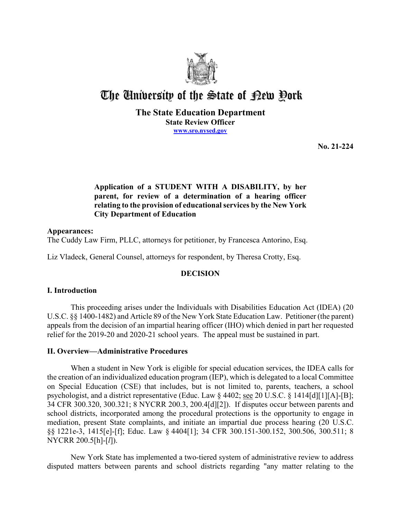

# The University of the State of Pew Pork

## **The State Education Department State Review Officer [www.sro.nysed.gov](http://www.sro.nysed.gov/)**

**No. 21-224** 

# **relating to the provision of educational services by the New York Application of a STUDENT WITH A DISABILITY, by her parent, for review of a determination of a hearing officer City Department of Education**

# **Appearances:**

The Cuddy Law Firm, PLLC, attorneys for petitioner, by Francesca Antorino, Esq.

Liz Vladeck, General Counsel, attorneys for respondent, by Theresa Crotty, Esq.

# **DECISION**

# **I. Introduction**

This proceeding arises under the Individuals with Disabilities Education Act (IDEA) (20 U.S.C. §§ 1400-1482) and Article 89 of the New York State Education Law. Petitioner (the parent) appeals from the decision of an impartial hearing officer (IHO) which denied in part her requested relief for the 2019-20 and 2020-21 school years. The appeal must be sustained in part.

# **II. Overview—Administrative Procedures**

 the creation of an individualized education program (IEP), which is delegated to a local Committee on Special Education (CSE) that includes, but is not limited to, parents, teachers, a school When a student in New York is eligible for special education services, the IDEA calls for psychologist, and a district representative (Educ. Law § 4402; see 20 U.S.C. § 1414[d][1][A]-[B]; 34 CFR 300.320, 300.321; 8 NYCRR 200.3, 200.4[d][2]). If disputes occur between parents and school districts, incorporated among the procedural protections is the opportunity to engage in mediation, present State complaints, and initiate an impartial due process hearing (20 U.S.C. §§ 1221e-3, 1415[e]-[f]; Educ. Law § 4404[1]; 34 CFR 300.151-300.152, 300.506, 300.511; 8 NYCRR 200.5[h]-[*l*]).

New York State has implemented a two-tiered system of administrative review to address disputed matters between parents and school districts regarding "any matter relating to the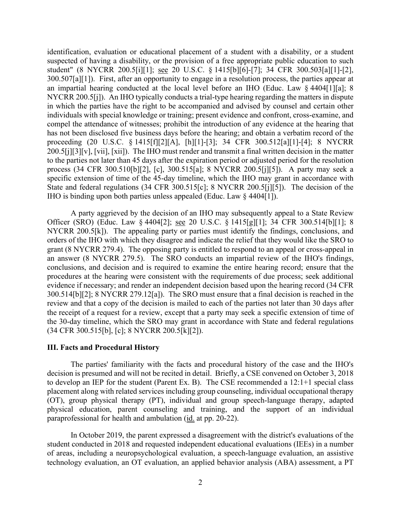student" (8 NYCRR 200.5[i][1]; see 20 U.S.C. § 1415[b][6]-[7]; 34 CFR 300.503[a][1]-[2], 300.507[a][1]). First, after an opportunity to engage in a resolution process, the parties appear at NYCRR 200.5[j]). An IHO typically conducts a trial-type hearing regarding the matters in dispute process (34 CFR 300.510[b][2], [c], 300.515[a]; 8 NYCRR 200.5[j][5]). A party may seek a IHO is binding upon both parties unless appealed (Educ. Law § 4404[1]). identification, evaluation or educational placement of a student with a disability, or a student suspected of having a disability, or the provision of a free appropriate public education to such an impartial hearing conducted at the local level before an IHO (Educ. Law § 4404[1][a]; 8 in which the parties have the right to be accompanied and advised by counsel and certain other individuals with special knowledge or training; present evidence and confront, cross-examine, and compel the attendance of witnesses; prohibit the introduction of any evidence at the hearing that has not been disclosed five business days before the hearing; and obtain a verbatim record of the proceeding (20 U.S.C. § 1415[f][2][A], [h][1]-[3]; 34 CFR 300.512[a][1]-[4]; 8 NYCRR 200.5[j][3][v], [vii], [xii]). The IHO must render and transmit a final written decision in the matter to the parties not later than 45 days after the expiration period or adjusted period for the resolution specific extension of time of the 45-day timeline, which the IHO may grant in accordance with State and federal regulations (34 CFR 300.515[c]; 8 NYCRR 200.5[j][5]). The decision of the

Officer (SRO) (Educ. Law § 4404[2]; <u>see</u> 20 U.S.C. § 1415[g][1]; 34 CFR 300.514[b][1]; 8 NYCRR 200.5[k]). The appealing party or parties must identify the findings, conclusions, and 300.514[b][2]; 8 NYCRR 279.12[a]). The SRO must ensure that a final decision is reached in the review and that a copy of the decision is mailed to each of the parties not later than 30 days after A party aggrieved by the decision of an IHO may subsequently appeal to a State Review orders of the IHO with which they disagree and indicate the relief that they would like the SRO to grant (8 NYCRR 279.4). The opposing party is entitled to respond to an appeal or cross-appeal in an answer (8 NYCRR 279.5). The SRO conducts an impartial review of the IHO's findings, conclusions, and decision and is required to examine the entire hearing record; ensure that the procedures at the hearing were consistent with the requirements of due process; seek additional evidence if necessary; and render an independent decision based upon the hearing record (34 CFR the receipt of a request for a review, except that a party may seek a specific extension of time of the 30-day timeline, which the SRO may grant in accordance with State and federal regulations (34 CFR 300.515[b], [c]; 8 NYCRR 200.5[k][2]).

#### **III. Facts and Procedural History**

 The parties' familiarity with the facts and procedural history of the case and the IHO's paraprofessional for health and ambulation (id. at pp. 20-22). decision is presumed and will not be recited in detail. Briefly, a CSE convened on October 3, 2018 to develop an IEP for the student (Parent Ex. B). The CSE recommended a 12:1+1 special class placement along with related services including group counseling, individual occupational therapy (OT), group physical therapy (PT), individual and group speech-language therapy, adapted physical education, parent counseling and training, and the support of an individual

 technology evaluation, an OT evaluation, an applied behavior analysis (ABA) assessment, a PT In October 2019, the parent expressed a disagreement with the district's evaluations of the student conducted in 2018 and requested independent educational evaluations (IEEs) in a number of areas, including a neuropsychological evaluation, a speech-language evaluation, an assistive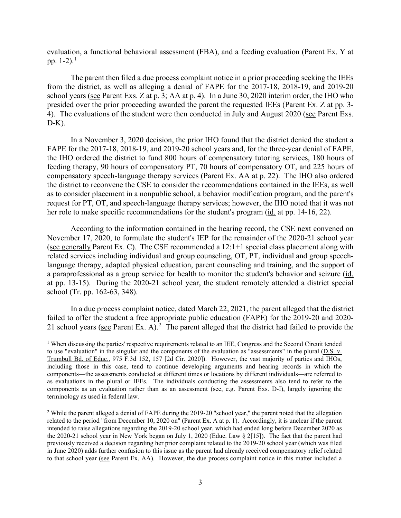evaluation, a functional behavioral assessment (FBA), and a feeding evaluation (Parent Ex. Y at pp.  $1-2$ ).<sup>1</sup>

The parent then filed a due process complaint notice in a prior proceeding seeking the IEEs from the district, as well as alleging a denial of FAPE for the 2017-18, 2018-19, and 2019-20 school years (see Parent Exs. Z at p. 3; AA at p. 4). In a June 30, 2020 interim order, the IHO who presided over the prior proceeding awarded the parent the requested IEEs (Parent Ex. Z at pp. 3- 4). The evaluations of the student were then conducted in July and August 2020 (see Parent Exs.  $D-K$ ).

 In a November 3, 2020 decision, the prior IHO found that the district denied the student a the IHO ordered the district to fund 800 hours of compensatory tutoring services, 180 hours of feeding therapy, 90 hours of compensatory PT, 70 hours of compensatory OT, and 225 hours of compensatory speech-language therapy services (Parent Ex. AA at p. 22). The IHO also ordered the district to reconvene the CSE to consider the recommendations contained in the IEEs, as well request for PT, OT, and speech-language therapy services; however, the IHO noted that it was not her role to make specific recommendations for the student's program (id. at pp. 14-16, 22). FAPE for the 2017-18, 2018-19, and 2019-20 school years and, for the three-year denial of FAPE, as to consider placement in a nonpublic school, a behavior modification program, and the parent's

 According to the information contained in the hearing record, the CSE next convened on November 17, 2020, to formulate the student's IEP for the remainder of the 2020-21 school year (see generally Parent Ex. C). The CSE recommended a 12:1+1 special class placement along with at pp. 13-15). During the 2020-21 school year, the student remotely attended a district special related services including individual and group counseling, OT, PT, individual and group speechlanguage therapy, adapted physical education, parent counseling and training, and the support of a paraprofessional as a group service for health to monitor the student's behavior and seizure (id. school (Tr. pp. 162-63, 348).

21 school years (see Parent Ex. A).<sup>2</sup> The parent alleged that the district had failed to provide the In a due process complaint notice, dated March 22, 2021, the parent alleged that the district failed to offer the student a free appropriate public education (FAPE) for the 2019-20 and 2020-

<span id="page-2-0"></span> Trumbull Bd. of Educ., 975 F.3d 152, 157 [2d Cir. 2020]). However, the vast majority of parties and IHOs, components—the assessments conducted at different times or locations by different individuals—are referred to as evaluations in the plural or IEEs. The individuals conducting the assessments also tend to refer to the <sup>1</sup> When discussing the parties' respective requirements related to an IEE, Congress and the Second Circuit tended to use "evaluation" in the singular and the components of the evaluation as "assessments" in the plural (D.S. v. including those in this case, tend to continue developing arguments and hearing records in which the components as an evaluation rather than as an assessment (see, e.g. Parent Exs. D-I), largely ignoring the terminology as used in federal law.

<span id="page-2-1"></span> related to the period "from December 10, 2020 on" (Parent Ex. A at p. 1). Accordingly, it is unclear if the parent the 2020-21 school year in New York began on July 1, 2020 (Educ. Law § 2[15]). The fact that the parent had in June 2020) adds further confusion to this issue as the parent had already received compensatory relief related to that school year (see Parent Ex. AA). However, the due process complaint notice in this matter included a <sup>2</sup> While the parent alleged a denial of FAPE during the 2019-20 "school year," the parent noted that the allegation intended to raise allegations regarding the 2019-20 school year, which had ended long before December 2020 as previously received a decision regarding her prior complaint related to the 2019-20 school year (which was filed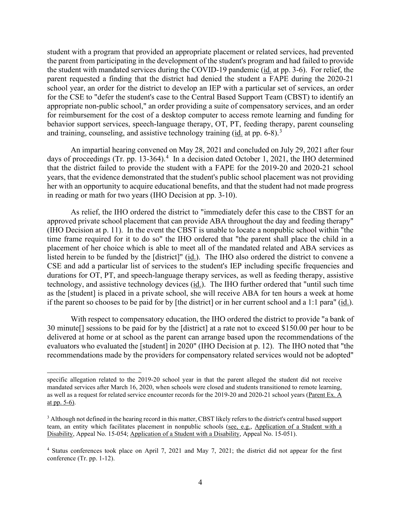the parent from participating in the development of the student's program and had failed to provide the student with mandated services during the COVID-19 pandemic (*id.* at pp. 3-6). For relief, the for the CSE to "defer the student's case to the Central Based Support Team (CBST) to identify an and training, counseling, and assistive technology training  $(id$  at pp. 6-8).<sup>3</sup> student with a program that provided an appropriate placement or related services, had prevented parent requested a finding that the district had denied the student a FAPE during the 2020-21 school year, an order for the district to develop an IEP with a particular set of services, an order appropriate non-public school," an order providing a suite of compensatory services, and an order for reimbursement for the cost of a desktop computer to access remote learning and funding for behavior support services, speech-language therapy, OT, PT, feeding therapy, parent counseling

 An impartial hearing convened on May 28, 2021 and concluded on July 29, 2021 after four days of proceedings (Tr. pp. 13-364).<sup>4</sup> In a decision dated October 1, 2021, the IHO determined that the district failed to provide the student with a FAPE for the 2019-20 and 2020-21 school her with an opportunity to acquire educational benefits, and that the student had not made progress years, that the evidence demonstrated that the student's public school placement was not providing in reading or math for two years (IHO Decision at pp. 3-10).

 (IHO Decision at p. 11). In the event the CBST is unable to locate a nonpublic school within "the placement of her choice which is able to meet all of the mandated related and ABA services as listed herein to be funded by the [district]"  $(id)$ . The IHO also ordered the district to convene a durations for OT, PT, and speech-language therapy services, as well as feeding therapy, assistive technology, and assistive technology devices (id.). The IHO further ordered that "until such time As relief, the IHO ordered the district to "immediately defer this case to the CBST for an approved private school placement that can provide ABA throughout the day and feeding therapy" time frame required for it to do so" the IHO ordered that "the parent shall place the child in a CSE and add a particular list of services to the student's IEP including specific frequencies and as the [student] is placed in a private school, she will receive ABA for ten hours a week at home if the parent so chooses to be paid for by [the district] or in her current school and a 1:1 para" (id.).

 With respect to compensatory education, the IHO ordered the district to provide "a bank of 30 minute[] sessions to be paid for by the [district] at a rate not to exceed \$150.00 per hour to be evaluators who evaluated the [student] in 2020" (IHO Decision at p. 12). The IHO noted that "the delivered at home or at school as the parent can arrange based upon the recommendations of the recommendations made by the providers for compensatory related services would not be adopted"

as well as a request for related service encounter records for the 2019-20 and 2020-21 school years (Parent Ex. A specific allegation related to the 2019-20 school year in that the parent alleged the student did not receive mandated services after March 16, 2020, when schools were closed and students transitioned to remote learning, at pp. 5-6).

<span id="page-3-0"></span><sup>&</sup>lt;sup>3</sup> Although not defined in the hearing record in this matter, CBST likely refers to the district's central based support team, an entity which facilitates placement in nonpublic schools (see, e.g., Application of a Student with a Disability, Appeal No. 15-054; Application of a Student with a Disability, Appeal No. 15-051).

<span id="page-3-1"></span><sup>&</sup>lt;sup>4</sup> Status conferences took place on April 7, 2021 and May 7, 2021; the district did not appear for the first conference (Tr. pp. 1-12).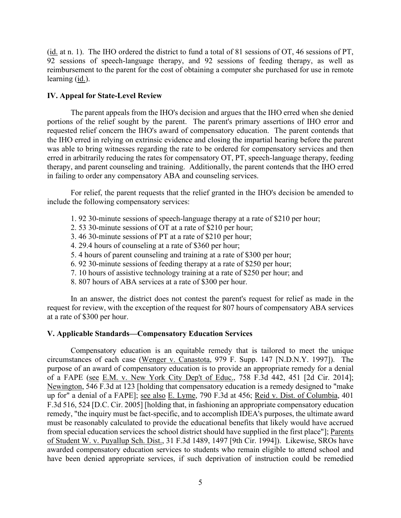$(i<sub>d</sub>$  at n. 1). The IHO ordered the district to fund a total of 81 sessions of OT, 46 sessions of PT, reimbursement to the parent for the cost of obtaining a computer she purchased for use in remote 92 sessions of speech-language therapy, and 92 sessions of feeding therapy, as well as learning (id.).

## **IV. Appeal for State-Level Review**

 requested relief concern the IHO's award of compensatory education. The parent contends that therapy, and parent counseling and training. Additionally, the parent contends that the IHO erred The parent appeals from the IHO's decision and argues that the IHO erred when she denied portions of the relief sought by the parent. The parent's primary assertions of IHO error and the IHO erred in relying on extrinsic evidence and closing the impartial hearing before the parent was able to bring witnesses regarding the rate to be ordered for compensatory services and then erred in arbitrarily reducing the rates for compensatory OT, PT, speech-language therapy, feeding in failing to order any compensatory ABA and counseling services.

For relief, the parent requests that the relief granted in the IHO's decision be amended to include the following compensatory services:

- 1. 92 30-minute sessions of speech-language therapy at a rate of \$210 per hour;
- 2. 53 30-minute sessions of OT at a rate of \$210 per hour;
- 3. 46 30-minute sessions of PT at a rate of \$210 per hour;
- 4. 29.4 hours of counseling at a rate of \$360 per hour;
- 5. 4 hours of parent counseling and training at a rate of \$300 per hour;
- 6. 92 30-minute sessions of feeding therapy at a rate of \$250 per hour;
- 7. 10 hours of assistive technology training at a rate of \$250 per hour; and
- 8. 807 hours of ABA services at a rate of \$300 per hour.

 In an answer, the district does not contest the parent's request for relief as made in the request for review, with the exception of the request for 807 hours of compensatory ABA services at a rate of \$300 per hour.

## **V. Applicable Standards—Compensatory Education Services**

 purpose of an award of compensatory education is to provide an appropriate remedy for a denial up for" a denial of a FAPE]; <u>see also E. Lyme</u>, 790 F.3d at 456; <u>Reid v. Dist. of Columbia</u>, 401 Compensatory education is an equitable remedy that is tailored to meet the unique circumstances of each case (Wenger v. Canastota, 979 F. Supp. 147 [N.D.N.Y. 1997]). The of a FAPE (see E.M. v. New York City Dep't of Educ., 758 F.3d 442, 451 [2d Cir. 2014]; Newington, 546 F.3d at 123 [holding that compensatory education is a remedy designed to "make F.3d 516, 524 [D.C. Cir. 2005] [holding that, in fashioning an appropriate compensatory education remedy, "the inquiry must be fact-specific, and to accomplish IDEA's purposes, the ultimate award must be reasonably calculated to provide the educational benefits that likely would have accrued from special education services the school district should have supplied in the first place"]; Parents of Student W. v. Puyallup Sch. Dist., 31 F.3d 1489, 1497 [9th Cir. 1994]). Likewise, SROs have awarded compensatory education services to students who remain eligible to attend school and have been denied appropriate services, if such deprivation of instruction could be remedied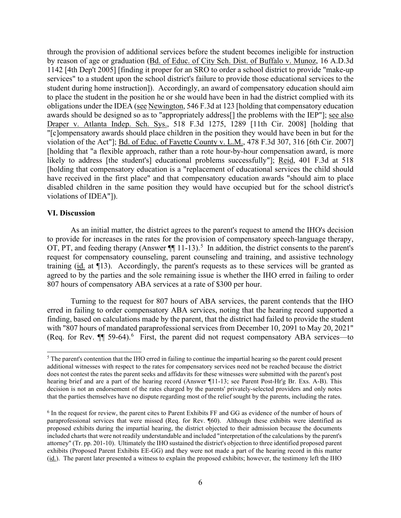awards should be designed so as to "appropriately address[] the problems with the IEP"]; see also have received in the first place" and that compensatory education awards "should aim to place through the provision of additional services before the student becomes ineligible for instruction by reason of age or graduation (Bd. of Educ. of City Sch. Dist. of Buffalo v. Munoz, 16 A.D.3d 1142 [4th Dep't 2005] [finding it proper for an SRO to order a school district to provide "make-up services" to a student upon the school district's failure to provide those educational services to the student during home instruction]). Accordingly, an award of compensatory education should aim to place the student in the position he or she would have been in had the district complied with its obligations under the IDEA (see Newington, 546 F.3d at 123 [holding that compensatory education Draper v. Atlanta Indep. Sch. Sys., 518 F.3d 1275, 1289 [11th Cir. 2008] [holding that "[c]ompensatory awards should place children in the position they would have been in but for the violation of the Act"]; Bd. of Educ. of Fayette County v. L.M., 478 F.3d 307, 316 [6th Cir. 2007] [holding that "a flexible approach, rather than a rote hour-by-hour compensation award, is more likely to address [the student's] educational problems successfully"]; Reid, 401 F.3d at 518 [holding that compensatory education is a "replacement of educational services the child should disabled children in the same position they would have occupied but for the school district's violations of IDEA"]).

### **VI. Discussion**

OT, PT, and feeding therapy (Answer  $\P$ ] 11-13).<sup>[5](#page-5-0)</sup> In addition, the district consents to the parent's training ( $id$ , at  $\P$ 13). Accordingly, the parent's requests as to these services will be granted as agreed to by the parties and the sole remaining issue is whether the IHO erred in failing to order As an initial matter, the district agrees to the parent's request to amend the IHO's decision to provide for increases in the rates for the provision of compensatory speech-language therapy, request for compensatory counseling, parent counseling and training, and assistive technology 807 hours of compensatory ABA services at a rate of \$300 per hour.

(Req. for Rev.  $\P$  59-[6](#page-5-1)4).<sup>6</sup> First, the parent did not request compensatory ABA services—to Turning to the request for 807 hours of ABA services, the parent contends that the IHO erred in failing to order compensatory ABA services, noting that the hearing record supported a finding, based on calculations made by the parent, that the district had failed to provide the student with "807 hours of mandated paraprofessional services from December 10, 2091 to May 20, 2021"

<span id="page-5-0"></span> hearing brief and are a part of the hearing record (Answer ¶11-13; see Parent Post-Hr'g Br. Exs. A-B). This decision is not an endorsement of the rates charged by the parents' privately-selected providers and only notes that the parties themselves have no dispute regarding most of the relief sought by the parents, including the rates. 5 The parent's contention that the IHO erred in failing to continue the impartial hearing so the parent could present additional witnesses with respect to the rates for compensatory services need not be reached because the district does not contest the rates the parent seeks and affidavits for these witnesses were submitted with the parent's post

<span id="page-5-1"></span> $6$  In the request for review, the parent cites to Parent Exhibits FF and GG as evidence of the number of hours of (id.). The parent later presented a witness to explain the proposed exhibits; however, the testimony left the IHO paraprofessional services that were missed (Req. for Rev. ¶60). Although these exhibits were identified as proposed exhibits during the impartial hearing, the district objected to their admission because the documents included charts that were not readily understandable and included "interpretation of the calculations by the parent's attorney" (Tr. pp. 201-10). Ultimately the IHO sustained the district's objection to three identified proposed parent exhibits (Proposed Parent Exhibits EE-GG) and they were not made a part of the hearing record in this matter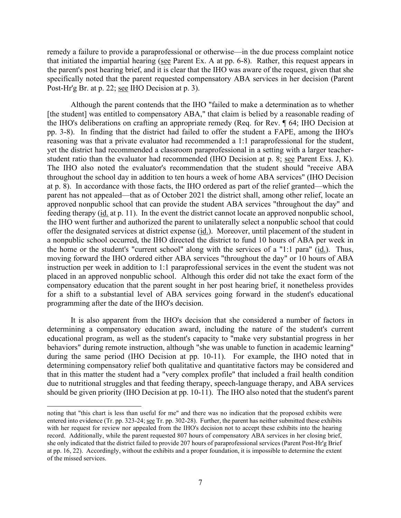that initiated the impartial hearing (see Parent Ex. A at pp. 6-8). Rather, this request appears in the parent's post hearing brief, and it is clear that the IHO was aware of the request, given that she Post-Hr'g Br. at p. 22; see IHO Decision at p. 3). remedy a failure to provide a paraprofessional or otherwise—in the due process complaint notice specifically noted that the parent requested compensatory ABA services in her decision (Parent

 at p. 8). In accordance with those facts, the IHO ordered as part of the relief granted—which the approved nonpublic school that can provide the student ABA services "throughout the day" and feeding therapy (id. at p. 11). In the event the district cannot locate an approved nonpublic school, the IHO went further and authorized the parent to unilaterally select a nonpublic school that could a nonpublic school occurred, the IHO directed the district to fund 10 hours of ABA per week in the home or the student's "current school" along with the services of a "1:1 para" (id.). Thus, moving forward the IHO ordered either ABA services "throughout the day" or 10 hours of ABA instruction per week in addition to 1:1 paraprofessional services in the event the student was not for a shift to a substantial level of ABA services going forward in the student's educational programming after the date of the IHO's decision. Although the parent contends that the IHO "failed to make a determination as to whether [the student] was entitled to compensatory ABA," that claim is belied by a reasonable reading of the IHO's deliberations on crafting an appropriate remedy (Req. for Rev. ¶ 64; IHO Decision at pp. 3-8). In finding that the district had failed to offer the student a FAPE, among the IHO's reasoning was that a private evaluator had recommended a 1:1 paraprofessional for the student, yet the district had recommended a classroom paraprofessional in a setting with a larger teacherstudent ratio than the evaluator had recommended (IHO Decision at p. 8; see Parent Exs. J, K). The IHO also noted the evaluator's recommendation that the student should "receive ABA throughout the school day in addition to ten hours a week of home ABA services" (IHO Decision parent has not appealed—that as of October 2021 the district shall, among other relief, locate an offer the designated services at district expense (id.). Moreover, until placement of the student in placed in an approved nonpublic school. Although this order did not take the exact form of the compensatory education that the parent sought in her post hearing brief, it nonetheless provides

 educational program, as well as the student's capacity to "make very substantial progress in her behaviors" during remote instruction, although "she was unable to function in academic learning" should be given priority (IHO Decision at pp. 10-11). The IHO also noted that the student's parent It is also apparent from the IHO's decision that she considered a number of factors in determining a compensatory education award, including the nature of the student's current during the same period (IHO Decision at pp. 10-11). For example, the IHO noted that in determining compensatory relief both qualitative and quantitative factors may be considered and that in this matter the student had a "very complex profile" that included a frail health condition due to nutritional struggles and that feeding therapy, speech-language therapy, and ABA services

entered into evidence (Tr. pp. 323-24; <u>see</u> Tr. pp. 302-28). Further, the parent has neither submitted these exhibits at pp. 16, 22). Accordingly, without the exhibits and a proper foundation, it is impossible to determine the extent noting that "this chart is less than useful for me" and there was no indication that the proposed exhibits were with her request for review nor appealed from the IHO's decision not to accept these exhibits into the hearing record. Additionally, while the parent requested 807 hours of compensatory ABA services in her closing brief, she only indicated that the district failed to provide 207 hours of paraprofessional services (Parent Post-Hr'g Brief of the missed services.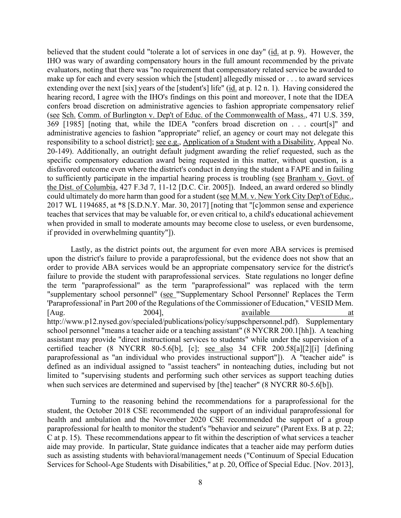extending over the next [six] years of the [student's] life" (id. at p. 12 n. 1). Having considered the hearing record, I agree with the IHO's findings on this point and moreover, I note that the IDEA (see Sch. Comm. of Burlington v. Dep't of Educ. of the Commonwealth of Mass., 471 U.S. 359, to sufficiently participate in the impartial hearing process is troubling (see Branham v. Govt. of believed that the student could "tolerate a lot of services in one day" (id. at p. 9). However, the IHO was wary of awarding compensatory hours in the full amount recommended by the private evaluators, noting that there was "no requirement that compensatory related service be awarded to make up for each and every session which the [student] allegedly missed or . . . to award services confers broad discretion on administrative agencies to fashion appropriate compensatory relief 369 [1985] [noting that, while the IDEA "confers broad discretion on . . . court[s]" and administrative agencies to fashion "appropriate" relief, an agency or court may not delegate this responsibility to a school district]; see e.g., Application of a Student with a Disability, Appeal No. 20-149). Additionally, an outright default judgment awarding the relief requested, such as the specific compensatory education award being requested in this matter, without question, is a disfavored outcome even where the district's conduct in denying the student a FAPE and in failing the Dist. of Columbia, 427 F.3d 7, 11-12 [D.C. Cir. 2005]). Indeed, an award ordered so blindly could ultimately do more harm than good for a student (see M.M. v. New York City Dep't of Educ., 2017 WL 1194685, at \*8 [S.D.N.Y. Mar. 30, 2017] [noting that "[c]ommon sense and experience teaches that services that may be valuable for, or even critical to, a child's educational achievement when provided in small to moderate amounts may become close to useless, or even burdensome, if provided in overwhelming quantity"]).

 paraprofessional as "an individual who provides instructional support"]). A "teacher aide" is Lastly, as the district points out, the argument for even more ABA services is premised upon the district's failure to provide a paraprofessional, but the evidence does not show that an order to provide ABA services would be an appropriate compensatory service for the district's failure to provide the student with paraprofessional services. State regulations no longer define the term "paraprofessional" as the term "paraprofessional" was replaced with the term "supplementary school personnel" (see "'Supplementary School Personnel' Replaces the Term 'Paraprofessional' in Part 200 of the Regulations of the Commissioner of Education," VESID Mem.  $[Aug.$  2004],  $2004]$ ,  $[Aug.$   $]$ [http://www.p12.nysed.gov/specialed/publications/policy/suppschpersonnel.pdf\)](http://www.p12.nysed.gov/specialed/publications/policy/suppschpersonnel.pdf). Supplementary school personnel "means a teacher aide or a teaching assistant" (8 NYCRR 200.1[hh]). A teaching assistant may provide "direct instructional services to students" while under the supervision of a certified teacher (8 NYCRR 80-5.6[b], [c]; see also 34 CFR 200.58[a][2][i] [defining defined as an individual assigned to "assist teachers" in nonteaching duties, including but not limited to "supervising students and performing such other services as support teaching duties when such services are determined and supervised by [the] teacher" (8 NYCRR 80-5.6[b]).

 student, the October 2018 CSE recommended the support of an individual paraprofessional for health and ambulation and the November 2020 CSE recommended the support of a group paraprofessional for health to monitor the student's "behavior and seizure" (Parent Exs. B at p. 22; aide may provide. In particular, State guidance indicates that a teacher aide may perform duties Turning to the reasoning behind the recommendations for a paraprofessional for the C at p. 15). These recommendations appear to fit within the description of what services a teacher such as assisting students with behavioral/management needs ("Continuum of Special Education Services for School-Age Students with Disabilities," at p. 20, Office of Special Educ. [Nov. 2013],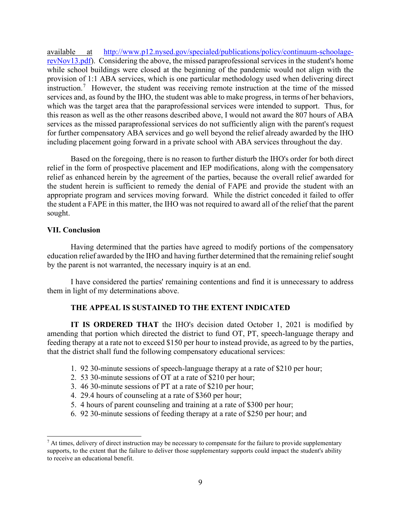[revNov13.pdf\)](http://www.p12.nysed.gov/specialed/publications/policy/continuum-schoolage-revNov13.pdf). Considering the above, the missed paraprofessional services in the student's home while school buildings were closed at the beginning of the pandemic would not align with the provision of 1:1 ABA services, which is one particular methodology used when delivering direct instruction.<sup>7</sup> However, the student was receiving remote instruction at the time of the missed which was the target area that the paraprofessional services were intended to support. Thus, for for further compensatory ABA services and go well beyond the relief already awarded by the IHO available at [http://www.p12.nysed.gov/specialed/publications/policy/continuum-schoolage](http://www.p12.nysed.gov/specialed/publications/policy/continuum-schoolage-revNov13.pdf)services and, as found by the IHO, the student was able to make progress, in terms of her behaviors, this reason as well as the other reasons described above, I would not award the 807 hours of ABA services as the missed paraprofessional services do not sufficiently align with the parent's request including placement going forward in a private school with ABA services throughout the day.

 the student herein is sufficient to remedy the denial of FAPE and provide the student with an the student a FAPE in this matter, the IHO was not required to award all of the relief that the parent Based on the foregoing, there is no reason to further disturb the IHO's order for both direct relief in the form of prospective placement and IEP modifications, along with the compensatory relief as enhanced herein by the agreement of the parties, because the overall relief awarded for appropriate program and services moving forward. While the district conceded it failed to offer sought.

# **VII. Conclusion**

 education relief awarded by the IHO and having further determined that the remaining relief sought Having determined that the parties have agreed to modify portions of the compensatory by the parent is not warranted, the necessary inquiry is at an end.

I have considered the parties' remaining contentions and find it is unnecessary to address them in light of my determinations above.

# **THE APPEAL IS SUSTAINED TO THE EXTENT INDICATED**

**IT IS ORDERED THAT** the IHO's decision dated October 1, 2021 is modified by amending that portion which directed the district to fund OT, PT, speech-language therapy and feeding therapy at a rate not to exceed \$150 per hour to instead provide, as agreed to by the parties, that the district shall fund the following compensatory educational services:

- 1. 92 30-minute sessions of speech-language therapy at a rate of \$210 per hour;
- 2. 53 30-minute sessions of OT at a rate of \$210 per hour;
- 3. 46 30-minute sessions of PT at a rate of \$210 per hour;
- 4. 29.4 hours of counseling at a rate of \$360 per hour;
- 5. 4 hours of parent counseling and training at a rate of \$300 per hour;
- 6. 92 30-minute sessions of feeding therapy at a rate of \$250 per hour; and

<span id="page-8-0"></span> $<sup>7</sup>$  At times, delivery of direct instruction may be necessary to compensate for the failure to provide supplementary</sup> supports, to the extent that the failure to deliver those supplementary supports could impact the student's ability to receive an educational benefit.